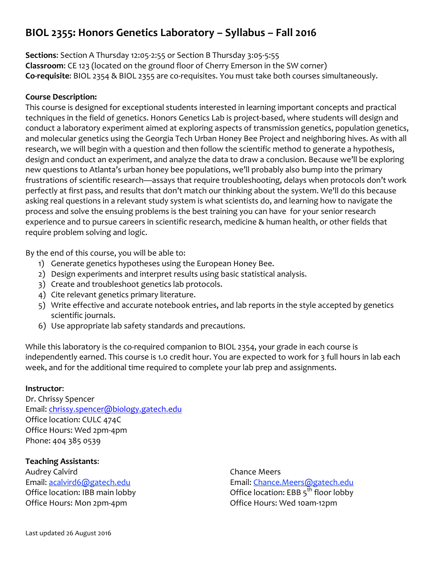# **BIOL 2355: Honors Genetics Laboratory – Syllabus – Fall 2016**

**Sections**: Section A Thursday 12:05-2:55 or Section B Thursday 3:05-5:55 **Classroom**: CE 123 (located on the ground floor of Cherry Emerson in the SW corner) **Co-requisite**: BIOL 2354 & BIOL 2355 are co-requisites. You must take both courses simultaneously.

# **Course Description:**

This course is designed for exceptional students interested in learning important concepts and practical techniques in the field of genetics. Honors Genetics Lab is project-based, where students will design and conduct a laboratory experiment aimed at exploring aspects of transmission genetics, population genetics, and molecular genetics using the Georgia Tech Urban Honey Bee Project and neighboring hives. As with all research, we will begin with a question and then follow the scientific method to generate a hypothesis, design and conduct an experiment, and analyze the data to draw a conclusion. Because we'll be exploring new questions to Atlanta's urban honey bee populations, we'll probably also bump into the primary frustrations of scientific research—assays that require troubleshooting, delays when protocols don't work perfectly at first pass, and results that don't match our thinking about the system. We'll do this because asking real questions in a relevant study system is what scientists do, and learning how to navigate the process and solve the ensuing problems is the best training you can have for your senior research experience and to pursue careers in scientific research, medicine & human health, or other fields that require problem solving and logic.

By the end of this course, you will be able to:

- 1) Generate genetics hypotheses using the European Honey Bee.
- 2) Design experiments and interpret results using basic statistical analysis.
- 3) Create and troubleshoot genetics lab protocols.
- 4) Cite relevant genetics primary literature.
- 5) Write effective and accurate notebook entries, and lab reports in the style accepted by genetics scientific journals.
- 6) Use appropriate lab safety standards and precautions.

While this laboratory is the co-required companion to BIOL 2354, your grade in each course is independently earned. This course is 1.0 credit hour. You are expected to work for 3 full hours in lab each week, and for the additional time required to complete your lab prep and assignments.

# **Instructor**:

Dr. Chrissy Spencer Email: chrissy.spencer@biology.gatech.edu Office location: CULC 474C Office Hours: Wed 2pm-4pm Phone: 404 385 0539

# **Teaching Assistants**:

Audrey Calvird Email: acalvird6@gatech.edu Office location: IBB main lobby Office Hours: Mon 2pm-4pm

Chance Meers Email: Chance.Meers@gatech.edu Office location: EBB  $5^{th}$  floor lobby Office Hours: Wed 10am-12pm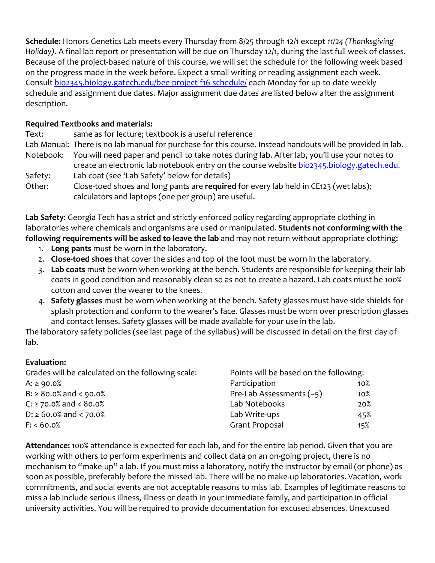**Schedule:** Honors Genetics Lab meets every Thursday from 8/25 through 12/1 except *11/24 (Thanksgiving Holiday)*. A final lab report or presentation will be due on Thursday 12/1, during the last full week of classes. Because of the project-based nature of this course, we will set the schedule for the following week based on the progress made in the week before. Expect a small writing or reading assignment each week. Consult bio2345.biology.gatech.edu/bee-project-f16-schedule/ each Monday for up-to-date weekly schedule and assignment due dates. Major assignment due dates are listed below after the assignment description.

# **Required Textbooks and materials:**

Text: same as for lecture; textbook is a useful reference Lab Manual: There is no lab manual for purchase for this course. Instead handouts will be provided in lab. Notebook: You will need paper and pencil to take notes during lab. After lab, you'll use your notes to create an electronic lab notebook entry on the course website bio2345.biology.gatech.edu. Safety: Lab coat (see 'Lab Safety' below for details) Other: Close-toed shoes and long pants are **required** for every lab held in CE123 (wet labs); calculators and laptops (one per group) are useful.

**Lab Safety**: Georgia Tech has a strict and strictly enforced policy regarding appropriate clothing in laboratories where chemicals and organisms are used or manipulated. **Students not conforming with the following requirements will be asked to leave the lab** and may not return without appropriate clothing:

- 1. **Long pants** must be worn in the laboratory.
- 2. **Close-toed shoes** that cover the sides and top of the foot must be worn in the laboratory.
- 3. **Lab coats** must be worn when working at the bench. Students are responsible for keeping their lab coats in good condition and reasonably clean so as not to create a hazard. Lab coats must be 100% cotton and cover the wearer to the knees.
- 4. **Safety glasses** must be worn when working at the bench. Safety glasses must have side shields for splash protection and conform to the wearer's face. Glasses must be worn over prescription glasses and contact lenses. Safety glasses will be made available for your use in the lab.

The laboratory safety policies (see last page of the syllabus) will be discussed in detail on the first day of lab.

# **Evaluation:**

| Grades will be calculated on the following scale: | Points will be based on the following: |     |
|---------------------------------------------------|----------------------------------------|-----|
| $A: \ge 90.0\%$                                   | Participation                          | 10% |
| $B: \geq 80.0\%$ and < 90.0%                      | Pre-Lab Assessments $(-5)$             | 10% |
| $C: \ge 70.0\%$ and < 80.0%                       | Lab Notebooks                          | 20% |
| $D: \ge 60.0\%$ and < 70.0%                       | Lab Write-ups                          | 45% |
| F: < 60.0%                                        | Grant Proposal                         | 15% |

**Attendance:** 100% attendance is expected for each lab, and for the entire lab period. Given that you are working with others to perform experiments and collect data on an on-going project, there is no mechanism to "make-up" a lab. If you must miss a laboratory, notify the instructor by email (or phone) as soon as possible, preferably before the missed lab. There will be no make-up laboratories. Vacation, work commitments, and social events are not acceptable reasons to miss lab. Examples of legitimate reasons to miss a lab include serious illness, illness or death in your immediate family, and participation in official university activities. You will be required to provide documentation for excused absences. Unexcused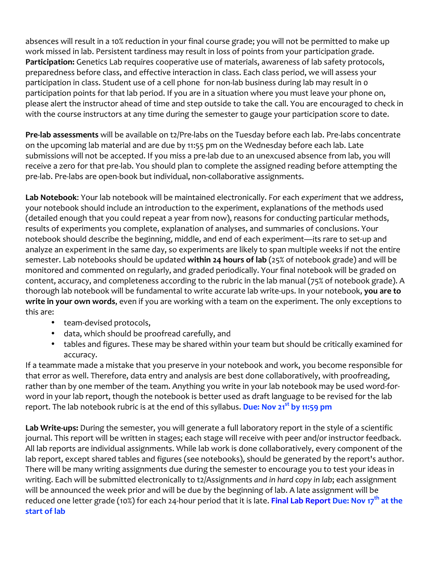absences will result in a 10% reduction in your final course grade; you will not be permitted to make up work missed in lab. Persistent tardiness may result in loss of points from your participation grade. **Participation:** Genetics Lab requires cooperative use of materials, awareness of lab safety protocols, preparedness before class, and effective interaction in class. Each class period, we will assess your participation in class. Student use of a cell phone for non-lab business during lab may result in 0 participation points for that lab period. If you are in a situation where you must leave your phone on, please alert the instructor ahead of time and step outside to take the call. You are encouraged to check in with the course instructors at any time during the semester to gauge your participation score to date.

**Pre-lab assessments** will be available on t2/Pre-labs on the Tuesday before each lab. Pre-labs concentrate on the upcoming lab material and are due by 11:55 pm on the Wednesday before each lab. Late submissions will not be accepted. If you miss a pre-lab due to an unexcused absence from lab, you will receive a zero for that pre-lab. You should plan to complete the assigned reading before attempting the pre-lab. Pre-labs are open-book but individual, non-collaborative assignments.

**Lab Notebook**: Your lab notebook will be maintained electronically. For each *experiment* that we address, your notebook should include an introduction to the experiment, explanations of the methods used (detailed enough that you could repeat a year from now), reasons for conducting particular methods, results of experiments you complete, explanation of analyses, and summaries of conclusions. Your notebook should describe the beginning, middle, and end of each experiment—its rare to set-up and analyze an experiment in the same day, so experiments are likely to span multiple weeks if not the entire semester. Lab notebooks should be updated **within 24 hours of lab** (25% of notebook grade) and will be monitored and commented on regularly, and graded periodically. Your final notebook will be graded on content, accuracy, and completeness according to the rubric in the lab manual (75% of notebook grade). A thorough lab notebook will be fundamental to write accurate lab write-ups. In your notebook, **you are to write in your own words**, even if you are working with a team on the experiment. The only exceptions to this are:

- team-devised protocols,
- data, which should be proofread carefully, and
- tables and figures. These may be shared within your team but should be critically examined for accuracy.

If a teammate made a mistake that you preserve in your notebook and work, you become responsible for that error as well. Therefore, data entry and analysis are best done collaboratively, with proofreading, rather than by one member of the team. Anything you write in your lab notebook may be used word-forword in your lab report, though the notebook is better used as draft language to be revised for the lab report. The lab notebook rubric is at the end of this syllabus. **Due: Nov 21st by 11:59 pm**

**Lab Write-ups:** During the semester, you will generate a full laboratory report in the style of a scientific journal. This report will be written in stages; each stage will receive with peer and/or instructor feedback. All lab reports are individual assignments. While lab work is done collaboratively, every component of the lab report, except shared tables and figures (see notebooks), should be generated by the report's author. There will be many writing assignments due during the semester to encourage you to test your ideas in writing. Each will be submitted electronically to t2/Assignments *and in hard copy in lab*; each assignment will be announced the week prior and will be due by the beginning of lab. A late assignment will be reduced one letter grade (10%) for each 24-hour period that it is late. **Final Lab Report Due: Nov 17th at the start of lab**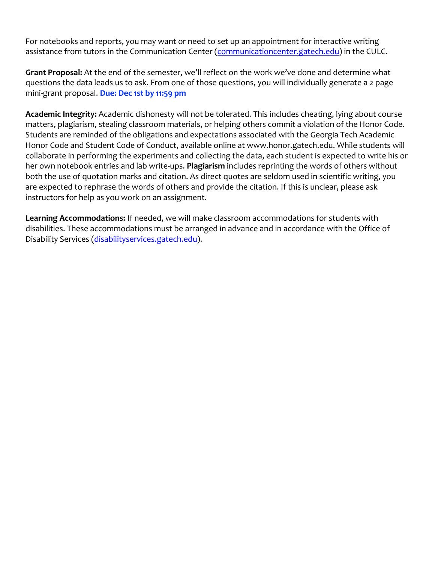For notebooks and reports, you may want or need to set up an appointment for interactive writing assistance from tutors in the Communication Center (communicationcenter.gatech.edu) in the CULC.

**Grant Proposal:** At the end of the semester, we'll reflect on the work we've done and determine what questions the data leads us to ask. From one of those questions, you will individually generate a 2 page mini-grant proposal. **Due: Dec 1st by 11:59 pm**

**Academic Integrity:** Academic dishonesty will not be tolerated. This includes cheating, lying about course matters, plagiarism, stealing classroom materials, or helping others commit a violation of the Honor Code. Students are reminded of the obligations and expectations associated with the Georgia Tech Academic Honor Code and Student Code of Conduct, available online at www.honor.gatech.edu. While students will collaborate in performing the experiments and collecting the data, each student is expected to write his or her own notebook entries and lab write-ups. **Plagiarism** includes reprinting the words of others without both the use of quotation marks and citation. As direct quotes are seldom used in scientific writing, you are expected to rephrase the words of others and provide the citation. If this is unclear, please ask instructors for help as you work on an assignment.

**Learning Accommodations:** If needed, we will make classroom accommodations for students with disabilities. These accommodations must be arranged in advance and in accordance with the Office of Disability Services (disabilityservices.gatech.edu).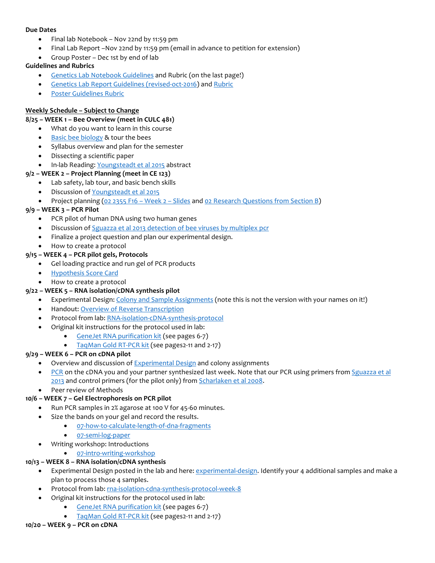#### **Due Dates**

- Final lab Notebook Nov 22nd by 11:59 pm
- Final Lab Report –Nov 22nd by 11:59 pm (email in advance to petition for extension)
- Group Poster Dec 1st by end of lab

#### **Guidelines and Rubrics**

- Genetics Lab Notebook Guidelines and Rubric (on the last page!)
- Genetics Lab Report Guidelines (revised-oct-2016) and Rubric
- Poster Guidelines Rubric

#### **Weekly Schedule – Subject to Change**

#### **8/25 – WEEK 1 – Bee Overview (meet in CULC 481)**

- What do you want to learn in this course
- Basic bee biology & tour the bees
- Syllabus overview and plan for the semester
- Dissecting a scientific paper
- In-lab Reading: Youngsteadt et al 2015 abstract

#### **9/2 – WEEK 2 – Project Planning (meet in CE 123)**

- Lab safety, lab tour, and basic bench skills
	- Discussion of Youngsteadt et al 2015
- Project planning (02 2355 F16 Week 2 Slides and 02 Research Questions from Section B)

#### **9/9 – WEEK 3 – PCR Pilot**

- PCR pilot of human DNA using two human genes
- Discussion of Sguazza et al 2013 detection of bee viruses by multiplex pcr
- Finalize a project question and plan our experimental design.
- How to create a protocol
- **9/15 – WEEK 4 – PCR pilot gels, Protocols**
	- Gel loading practice and run gel of PCR products
	- Hypothesis Score Card
	- How to create a protocol

#### **9/22 – WEEK 5 – RNA isolation/cDNA synthesis pilot**

- Experimental Design: Colony and Sample Assignments (note this is not the version with your names on it!)
- Handout: Overview of Reverse Transcription
- Protocol from lab: RNA-isolation-cDNA-synthesis-protocol
- Original kit instructions for the protocol used in lab:
	- GeneJet RNA purification kit (see pages 6-7)
		- TaqMan Gold RT-PCR kit (see pages2-11 and 2-17)

#### **9/29 – WEEK 6 – PCR on cDNA pilot**

- Overview and discussion of **Experimental Design** and colony assignments
- PCR on the cDNA you and your partner synthesized last week. Note that our PCR using primers from Sguazza et al 2013 and control primers (for the pilot only) from Scharlaken et al 2008.
- Peer review of Methods

# **10/6 – WEEK 7 – Gel Electrophoresis on PCR pilot**

- Run PCR samples in 2% agarose at 100 V for 45-60 minutes.
- Size the bands on your gel and record the results.
	- 07-how-to-calculate-length-of-dna-fragments
	- 07-semi-log-paper
	- Writing workshop: Introductions
		- 07-intro-writing-workshop

# **10/13 – WEEK 8 – RNA isolation/cDNA synthesis**

- Experimental Design posted in the lab and here: experimental-design. Identify your 4 additional samples and make a plan to process those 4 samples.
- Protocol from lab: rna-isolation-cdna-synthesis-protocol-week-8
- Original kit instructions for the protocol used in lab:
	- GeneJet RNA purification kit (see pages 6-7)
	- TaqMan Gold RT-PCR kit (see pages2-11 and 2-17)

# **10/20 – WEEK 9 – PCR on cDNA**